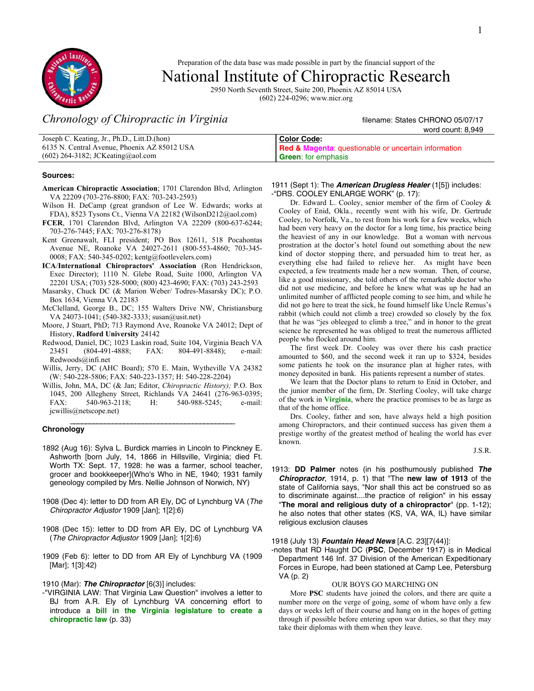1



Preparation of the data base was made possible in part by the financial support of the

# National Institute of Chiropractic Research

2950 North Seventh Street, Suite 200, Phoenix AZ 85014 USA (602) 224-0296; www.nicr.org

# *Chronology of Chiropractic in Virginia* filename: States CHRONO 05/07/17

|                                              | word count: 8.949                                               |
|----------------------------------------------|-----------------------------------------------------------------|
| Joseph C. Keating, Jr., Ph.D., Litt.D.(hon)  | <b>Color Code:</b>                                              |
| 6135 N. Central Avenue, Phoenix AZ 85012 USA | <b>Red &amp; Magenta:</b> questionable or uncertain information |
| $(602)$ 264-3182; JCKeating@aol.com          | <b>Green:</b> for emphasis                                      |

#### **Sources:**

- **American Chiropractic Association**; 1701 Clarendon Blvd, Arlington VA 22209 (703-276-8800; FAX: 703-243-2593)
- Wilson H. DeCamp (great grandson of Lee W. Edwards; works at FDA), 8523 Tysons Ct., Vienna VA 22182 (WilsonD212@aol.com)
- **FCER**, 1701 Clarendon Blvd, Arlington VA 22209 (800-637-6244; 703-276-7445; FAX: 703-276-8178)
- Kent Greenawalt, FLI president; PO Box 12611, 518 Pocahontas Avenue NE, Roanoke VA 24027-2611 (800-553-4860; 703-345- 0008; FAX: 540-345-0202; kentg@footlevelers.com)
- **ICA**/**International Chiropractors' Association** (Ron Hendrickson, Exec Director); 1110 N. Glebe Road, Suite 1000, Arlington VA 22201 USA; (703) 528-5000; (800) 423-4690; FAX: (703) 243-2593
- Masarsky, Chuck DC (& Marion Weber/ Todres-Masarsky DC); P.O. Box 1634, Vienna VA 22183
- McClelland, George B., DC; 155 Walters Drive NW, Christiansburg VA 24073-1041; (540-382-3333; susan@usit.net)
- Moore, J Stuart, PhD; 713 Raymond Ave, Roanoke VA 24012; Dept of History, **Radford University** 24142
- Redwood, Daniel, DC; 1023 Laskin road, Suite 104, Virginia Beach VA 23451 (804-491-4888; FAX: 804-491-8848); e-mail: Redwoods@infi.net
- Willis, Jerry, DC (AHC Board); 570 E. Main, Wytheville VA 24382 (W: 540-228-5806; FAX: 540-223-1357; H: 540-228-2204)
- Willis, John, MA, DC (& Jan; Editor, *Chiropractic History);* P.O. Box 1045, 200 Allegheny Street, Richlands VA 24641 (276-963-0395; FAX: 540-963-2118; H: 540-988-5245; e-mail: jcwillis@netscope.net)

#### \_\_\_\_\_\_\_\_\_\_\_\_\_\_\_\_\_\_\_\_\_\_\_\_\_\_\_\_\_\_\_\_\_\_\_\_\_\_\_\_\_\_\_ **Chronology**

- 1892 (Aug 16): Sylva L. Burdick marries in Lincoln to Pinckney E. Ashworth [born July, 14, 1866 in Hillsville, Virginia; died Ft. Worth TX: Sept. 17, 1928: he was a farmer, school teacher, grocer and bookkeeper](Who's Who in NE, 1940; 1931 family geneology compiled by Mrs. Nellie Johnson of Norwich, NY)
- 1908 (Dec 4): letter to DD from AR Ely, DC of Lynchburg VA (The Chiropractor Adjustor 1909 [Jan]; 1[2]:6)
- 1908 (Dec 15): letter to DD from AR Ely, DC of Lynchburg VA (The Chiropractor Adjustor 1909 [Jan]; 1[2]:6)
- 1909 (Feb 6): letter to DD from AR Ely of Lynchburg VA (1909 [Mar]; 1[3]:42)
- 1910 (Mar): **The Chiropractor** [6(3)] includes:
- -"VIRGINIA LAW: That Virginia Law Question" involves a letter to BJ from A.R. Ely of Lynchburg VA concerning effort to introduce a **bill in the Virginia legislature to create a chiropractic law** (p. 33)

#### 1911 (Sept 1): The **American Drugless Healer** (1[5]) includes: -"DRS. COOLEY ENLARGE WORK" (p. 17):

 Dr. Edward L. Cooley, senior member of the firm of Cooley & Cooley of Enid, Okla., recently went with his wife, Dr. Gertrude Cooley, to Norfolk, Va., to rest from his work for a few weeks, which had been very heavy on the doctor for a long time, his practice being the heaviest of any in our knowledge. But a woman with nervous prostration at the doctor's hotel found out something about the new kind of doctor stopping there, and persuaded him to treat her, as everything else had failed to relieve her. As might have been expected, a few treatments made her a new woman. Then, of course, like a good missionary, she told others of the remarkable doctor who did not use medicine, and before he knew what was up he had an unlimited number of afflicted people coming to see him, and while he did not go here to treat the sick, he found himself like Uncle Remus's rabbit (which could not climb a tree) crowded so closely by the fox that he was "jes obleeged to climb a tree," and in honor to the great science he represented he was obliged to treat the numerous afflicted people who flocked around him.

 The first week Dr. Cooley was over there his cash practice amounted to \$60, and the second week it ran up to \$324, besides some patients he took on the insurance plan at higher rates, with money deposited in bank. His patients represent a number of states.

 We learn that the Doctor plans to return to Enid in October, and the junior member of the firm, Dr. Sterling Cooley, will take charge of the work in **Virginia**, where the practice promises to be as large as that of the home office.

 Drs. Cooley, father and son, have always held a high position among Chiropractors, and their continued success has given them a prestige worthy of the greatest method of healing the world has ever known.

J.S.R.

1913: **DD Palmer** notes (in his posthumously published **The Chiropractor**, 1914, p. 1) that "The **new law of 1913** of the state of California says, "Nor shall this act be construed so as to discriminate against....the practice of religion" in his essay "**The moral and religious duty of a chiropractor**" (pp. 1-12); he also notes that other states (KS, VA, WA, IL) have similar religious exclusion clauses

#### 1918 (July 13) **Fountain Head News** [A.C. 23][7(44)]:

-notes that RD Haught DC (**PSC**, December 1917) is in Medical Department 146 Inf. 37 Division of the American Expeditionary Forces in Europe, had been stationed at Camp Lee, Petersburg VA (p. 2)

#### OUR BOYS GO MARCHING ON

 More **PSC** students have joined the colors, and there are quite a number more on the verge of going, some of whom have only a few days or weeks left of their course and hang on in the hopes of getting through if possible before entering upon war duties, so that they may take their diplomas with them when they leave.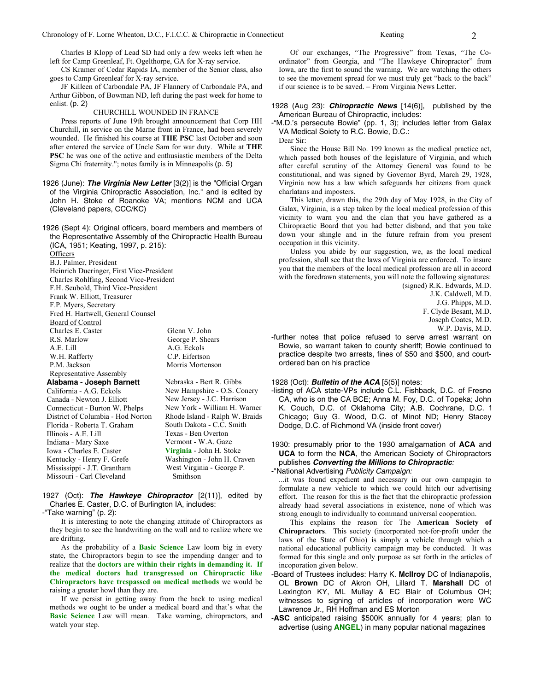Charles B Klopp of Lead SD had only a few weeks left when he left for Camp Greenleaf, Ft. Ogelthorpe, GA for X-ray service.

 CS Kramer of Cedar Rapids IA, member of the Senior class, also goes to Camp Greenleaf for X-ray service.

 JF Killeen of Carbondale PA, JF Flannery of Carbondale PA, and Arthur Gibbon, of Bowman ND, left during the past week for home to enlist. (p. 2)

#### CHURCHILL WOUNDED IN FRANCE

 Press reports of June 19th brought announcement that Corp HH Churchill, in service on the Marne front in France, had been severely wounded. He finished his course at **THE PSC** last October and soon after entered the service of Uncle Sam for war duty. While at **THE PSC** he was one of the active and enthusiastic members of the Delta Sigma Chi fraternity."; notes family is in Minneapolis (p. 5)

1926 (June): **The Virginia New Letter** [3(2)] is the "Official Organ of the Virginia Chiropractic Association, Inc." and is edited by John H. Stoke of Roanoke VA; mentions NCM and UCA (Cleveland papers, CCC/KC)

1926 (Sept 4): Original officers, board members and members of the Representative Assembly of the Chiropractic Health Bureau (ICA, 1951; Keating, 1997, p. 215): **Officers** B.J. Palmer, President Heinrich Dueringer, First Vice-President Charles Rohlfing, Second Vice-President F.H. Seubold, Third Vice-President Frank W. Elliott, Treasurer

F.P. Myers, Secretary Fred H. Hartwell, General Counsel Board of Control Charles E. Caster R.S. Marlow A.E. Lill W.H. Rafferty P.M. Jackson Representative Assembly

Glenn V. John George P. Shears A.G. Eckols C.P. Eifertson Morris Mortenson

**Alabama - Joseph Barnett**  California - A.G. Eckols Canada - Newton J. Elliott Connecticut - Burton W. Phelps District of Columbia - Hod Norton Florida - Roberta T. Graham Illinois - A.E. Lill Indiana - Mary Saxe Iowa - Charles E. Caster Kentucky - Henry F. Grefe Mississippi - J.T. Grantham Missouri - Carl Cleveland

Nebraska - Bert R. Gibbs New Hampshire - O.S. Conery New Jersey - J.C. Harrison New York - William H. Warner Rhode Island - Ralph W. Braids South Dakota - C.C. Smith Texas - Ben Overton Vermont - W.A. Gaze **Virginia** - John H. Stoke Washington - John H. Craven West Virginia - George P. Smithson

1927 (Oct): **The Hawkeye Chiropractor** [2(11)], edited by Charles E. Caster, D.C. of Burlington IA, includes:

-"Take warning" (p. 2):

 It is interesting to note the changing attitude of Chiropractors as they begin to see the handwriting on the wall and to realize where we are drifting.

 As the probability of a **Basic Science** Law loom big in every state, the Chiropractors begin to see the impending danger and to realize that the **doctors are within their rights in demanding it. If the medical doctors had transgressed on Chiropractic like Chiropractors have trespassed on medical methods** we would be raising a greater howl than they are.

 If we persist in getting away from the back to using medical methods we ought to be under a medical board and that's what the **Basic Science** Law will mean. Take warning, chiropractors, and watch your step.

 Of our exchanges, "The Progressive" from Texas, "The Coordinator" from Georgia, and "The Hawkeye Chiropractor" from Iowa, are the first to sound the warning. We are watching the others to see the movement spread for we must truly get "back to the back" if our science is to be saved. – From Virginia News Letter.

#### 1928 (Aug 23): **Chiropractic News** [14(6)], published by the American Bureau of Chiropractic, includes:

-"M.D.'s persecute Bowie" (pp. 1, 3); includes letter from Galax VA Medical Soiety to R.C. Bowie, D.C.:

Dear Sir:

 Since the House Bill No. 199 known as the medical practice act, which passed both houses of the legislature of Virginia, and which after careful scrutiny of the Attorney General was found to be constitutional, and was signed by Governor Byrd, March 29, 1928, Virginia now has a law which safeguards her citizens from quack charlatans and imposters.

 This letter, drawn this, the 29th day of May 1928, in the City of Galax, Virginia, is a step taken by the local medical profession of this vicinity to warn you and the clan that you have gathered as a Chiropractic Board that you had better disband, and that you take down your shingle and in the future refrain from you present occupation in this vicinity.

 Unless you abide by our suggestion, we, as the local medical profession, shall see that the laws of Virginia are enforced. To insure you that the members of the local medical profession are all in accord with the foredrawn statements, you will note the following signatures:

(signed) R.K. Edwards, M.D.

J.K. Caldwell, M.D.

J.G. Phipps, M.D.

F. Clyde Besant, M.D.

Joseph Coates, M.D.

W.P. Davis, M.D.

-further notes that police refused to serve arrest warrant on Bowie, so warrant taken to county sheriff; Bowie continued to practice despite two arrests, fines of \$50 and \$500, and courtordered ban on his practice

1928 (Oct): **Bulletin of the ACA** [5(5)] notes:

-listing of ACA state-VPs include C.L. Fishback, D.C. of Fresno CA, who is on the CA BCE; Anna M. Foy, D.C. of Topeka; John K. Couch, D.C. of Oklahoma City; A.B. Cochrane, D.C. f Chicago; Guy G. Wood, D.C. of Minot ND; Henry Stacey Dodge, D.C. of Richmond VA (inside front cover)

1930: presumably prior to the 1930 amalgamation of **ACA** and **UCA** to form the **NCA**, the American Society of Chiropractors publishes **Converting the Millions to Chiropractic**:

-"National Advertising Publicity Campaign:

...it was found expedient and necessary in our own campagin to formulate a new vehicle to which we could hitch our advertising effort. The reason for this is the fact that the chiropractic profession already haad several associations in existence, none of which was strong enough to individually to command universal cooperation.

 This explains the reason for The **American Society of Chiropractors**. This society (incorporated not-for-profit under the laws of the State of Ohio) is simply a vehicle through which a national educational publicity campaign may be conducted. It was formed for this single and only purpose as set forth in the articles of incoporation given below.

-Board of Trustees includes: Harry K. **McIlroy** DC of Indianapolis, OL **Brown** DC of Akron OH, Lillard T. **Marshall** DC of Lexington KY, ML Mullay & EC Blair of Columbus OH; witnesses to signing of articles of incorporation were WC Lawrence Jr., RH Hoffman and ES Morton

-**ASC** anticipated raising \$500K annually for 4 years; plan to advertise (using **ANGEL**) in many popular national magazines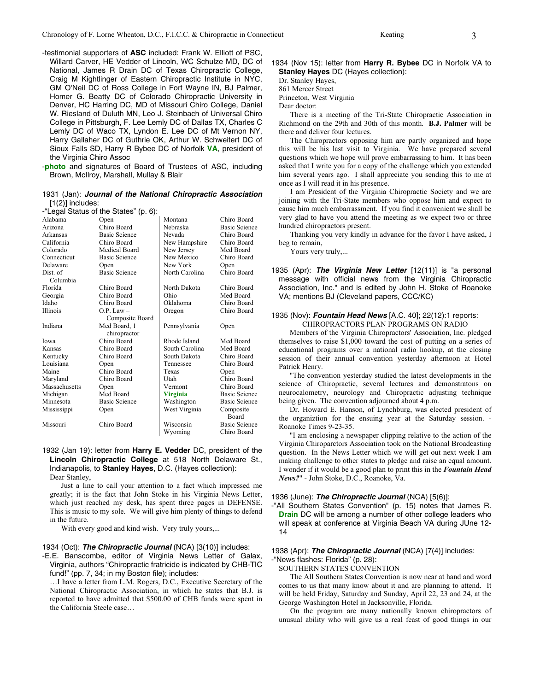- -testimonial supporters of **ASC** included: Frank W. Elliott of PSC, Willard Carver, HE Vedder of Lincoln, WC Schulze MD, DC of National, James R Drain DC of Texas Chiropractic College, Craig M Kightlinger of Eastern Chiropractic Institute in NYC, GM O'Neil DC of Ross College in Fort Wayne IN, BJ Palmer, Homer G. Beatty DC of Colorado Chiropractic University in Denver, HC Harring DC, MD of Missouri Chiro College, Daniel W. Riesland of Duluth MN, Leo J. Steinbach of Universal Chiro College in Pittsburgh, F. Lee Lemly DC of Dallas TX, Charles C Lemly DC of Waco TX, Lyndon E. Lee DC of Mt Vernon NY, Harry Gallaher DC of Guthrie OK, Arthur W. Schweitert DC of Sioux Falls SD, Harry R Bybee DC of Norfolk **VA**, president of the Virginia Chiro Assoc
- -**photo** and signatures of Board of Trustees of ASC, including Brown, McIlroy, Marshall, Mullay & Blair

#### 1931 (Jan): **Journal of the National Chiropractic Association**  $[1(2)]$  includes:

-"Legal Status of the States" (p. 6):

|               | $L$ ogar olalao or ino olaloo (p. o). |                 |                      |  |
|---------------|---------------------------------------|-----------------|----------------------|--|
| Alabama       | Open                                  | Montana         | Chiro Board          |  |
| Arizona       | Chiro Board                           | Nebraska        | <b>Basic Science</b> |  |
| Arkansas      | <b>Basic Science</b>                  | Nevada          | Chiro Board          |  |
| California    | Chiro Board                           | New Hampshire   | Chiro Board          |  |
| Colorado      | Medical Board                         | New Jersey      | Med Board            |  |
| Connecticut   | <b>Basic Science</b>                  | New Mexico      | Chiro Board          |  |
| Delaware      | Open                                  | New York        | Open                 |  |
| Dist. of      | <b>Basic Science</b>                  | North Carolina  | Chiro Board          |  |
| Columbia      |                                       |                 |                      |  |
| Florida       | Chiro Board                           | North Dakota    | Chiro Board          |  |
| Georgia       | Chiro Board                           | Ohio            | Med Board            |  |
| Idaho         | Chiro Board                           | Oklahoma        | Chiro Board          |  |
| Illinois      | $O.P. Law -$                          | Oregon          | Chiro Board          |  |
|               | Composite Board                       |                 |                      |  |
| Indiana       | Med Board, 1                          | Pennsylvania    | Open                 |  |
|               | chiropractor                          |                 |                      |  |
| Iowa          | Chiro Board                           | Rhode Island    | Med Board            |  |
| Kansas        | Chiro Board                           | South Carolina  | Med Board            |  |
| Kentucky      | Chiro Board                           | South Dakota    | Chiro Board          |  |
| Louisiana     | Open                                  | Tennessee       | Chiro Board          |  |
| Maine         | Chiro Board                           | Texas           | Open                 |  |
| Maryland      | Chiro Board                           | Utah            | Chiro Board          |  |
| Massachusetts | Open                                  | Vermont         | Chiro Board          |  |
| Michigan      | Med Board                             | <b>Virginia</b> | <b>Basic Science</b> |  |
| Minnesota     | <b>Basic Science</b>                  | Washington      | <b>Basic Science</b> |  |
| Mississippi   | Open                                  | West Virginia   | Composite            |  |
|               |                                       |                 | <b>Board</b>         |  |
| Missouri      | Chiro Board                           | Wisconsin       | <b>Basic Science</b> |  |
|               |                                       | Wyoming         | Chiro Board          |  |

1932 (Jan 19): letter from **Harry E. Vedder** DC, president of the **Lincoln Chiropractic College** at 518 North Delaware St., Indianapolis, to **Stanley Hayes**, D.C. (Hayes collection): Dear Stanley,

 Just a line to call your attention to a fact which impressed me greatly; it is the fact that John Stoke in his Virginia News Letter, which just reached my desk, has spent three pages in DEFENSE. This is music to my sole. We will give him plenty of things to defend in the future.

With every good and kind wish. Very truly yours,...

#### 1934 (Oct): **The Chiropractic Journal** (NCA) [3(10)] includes:

-E.E. Banscombe, editor of Virginia News Letter of Galax, Virginia, authors "Chiropractic fratricide is indicated by CHB-TIC fund!" (pp. 7, 34; in my Boston file); includes:

…I have a letter from L.M. Rogers, D.C., Executive Secretary of the National Chiropractic Association, in which he states that B.J. is reported to have admitted that \$500.00 of CHB funds were spent in the California Steele case…

1934 (Nov 15): letter from **Harry R. Bybee** DC in Norfolk VA to **Stanley Hayes** DC (Hayes collection):

Dr. Stanley Hayes,

861 Mercer Street

Princeton, West Virginia

Dear doctor:

 There is a meeting of the Tri-State Chiropractic Association in Richmond on the 29th and 30th of this month. **B.J. Palmer** will be there and deliver four lectures.

 The Chiropractors opposing him are partly organized and hope this will be his last visit to Virginia. We have prepared several questions which we hope will prove embarrassing to him. It has been asked that I write you for a copy of the challenge which you extended him several years ago. I shall appreciate you sending this to me at once as I will read it in his presence.

 I am President of the Virginia Chiropractic Society and we are joining with the Tri-State members who oppose him and expect to cause him much embarrassment. If you find it convenient we shall be very glad to have you attend the meeting as we expect two or three hundred chiropractors present.

 Thanking you very kindly in advance for the favor I have asked, I beg to remain,

Yours very truly,...

1935 (Apr): **The Virginia New Letter** [12(11)] is "a personal message with official news from the Virginia Chiropractic Association, Inc." and is edited by John H. Stoke of Roanoke VA; mentions BJ (Cleveland papers, CCC/KC)

#### 1935 (Nov): **Fountain Head News** [A.C. 40]; 22(12):1 reports: CHIROPRACTORS PLAN PROGRAMS ON RADIO

 Members of the Virginia Chiropractors' Association, Inc. pledged themselves to raise \$1,000 toward the cost of putting on a series of educational programs over a national radio hookup, at the closing session of their annual convention yesterday afternoon at Hotel Patrick Henry.

 "The convention yesterday studied the latest developments in the science of Chiropractic, several lectures and demonstratons on neurocalometry, neurology and Chiropractic adjusting technique being given. The convention adjourned about 4 p.m.

 Dr. Howard E. Hanson, of Lynchburg, was elected president of the organiztion for the ensuing year at the Saturday session. - Roanoke Times 9-23-35.

 "I am enclosing a newspaper clipping relative to the action of the Virginia Chiroparctors Association took on the National Broadcasting question. In the News Letter which we will get out next week I am making challenge to other states to pledge and raise an equal amount. I wonder if it would be a good plan to print this in the *Fountain Head News?*" - John Stoke, D.C., Roanoke, Va.

#### 1936 (June): **The Chiropractic Journal** (NCA) [5(6)]:

-"All Southern States Convention" (p. 15) notes that James R. **Drain** DC will be among a number of other college leaders who will speak at conference at Virginia Beach VA during JUne 12- 14

### 1938 (Apr): **The Chiropractic Journal** (NCA) [7(4)] includes:

#### -"News flashes: Florida" (p. 28): SOUTHERN STATES CONVENTION

 The All Southern States Convention is now near at hand and word comes to us that many know about it and are planning to attend. It will be held Friday, Saturday and Sunday, April 22, 23 and 24, at the George Washington Hotel in Jacksonville, Florida.

 On the program are many nationally known chiropractors of unusual ability who will give us a real feast of good things in our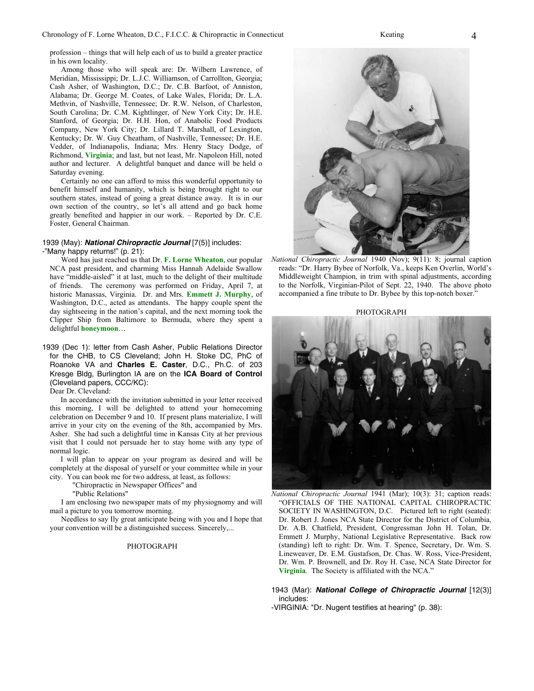profession – things that will help each of us to build a greater practice in his own locality.

 Among those who will speak are: Dr. Wilbern Lawrence, of Meridian, Mississippi; Dr. L.J.C. Williamson, of Carrollton, Georgia; Cash Asher, of Washington, D.C.; Dr. C.B. Barfoot, of Anniston, Alabama; Dr. George M. Coates, of Lake Wales, Florida; Dr. L.A. Methvin, of Nashville, Tennessee; Dr. R.W. Nelson, of Charleston, South Carolina; Dr. C.M. Kightlinger, of New York City; Dr. H.E. Stanford, of Georgia; Dr. H.H. Hon, of Anabolic Food Products Company, New York City; Dr. Lillard T. Marshall, of Lexington, Kentucky; Dr. W. Guy Cheatham, of Nashville, Tennessee; Dr. H.E. Vedder, of Indianapolis, Indiana; Mrs. Henry Stacy Dodge, of Richmond, **Virginia**; and last, but not least, Mr. Napoleon Hill, noted author and lecturer. A delightful banquet and dance will be held o Saturday evening.

 Certainly no one can afford to miss this wonderful opportunity to benefit himself and humanity, which is being brought right to our southern states, instead of going a great distance away. It is in our own section of the country, so let's all attend and go back home greatly benefited and happier in our work. – Reported by Dr. C.E. Foster, General Chairman.

#### 1939 (May): **National Chiropractic Journal** [7(5)] includes: -"Many happy returns!" (p. 21):

 Word has just reached us that Dr. **F. Lorne Wheaton**, our popular NCA past president, and charming Miss Hannah Adelaide Swallow have "middle-aisled" it at last, much to the delight of their multitude of friends. The ceremony was performed on Friday, April 7, at historic Manassas, Virginia. Dr. and Mrs. **Emmett J. Murphy**, of Washington, D.C., acted as attendants. The happy couple spent the day sightseeing in the nation's capital, and the next morning took the Clipper Ship from Baltimore to Bermuda, where they spent a delightful **honeymoon**…

1939 (Dec 1): letter from Cash Asher, Public Relations Director for the CHB, to CS Cleveland; John H. Stoke DC, PhC of Roanoke VA and **Charles E. Caster**, D.C., Ph.C. of 203 Kresge Bldg, Burlington IA are on the **ICA Board of Control** (Cleveland papers, CCC/KC):

Dear Dr. Cleveland:

 In accordance with the invitation submitted in your letter received this morning, I will be delighted to attend your homecoming celebration on December 9 and 10. If present plans materialize, I will arrive in your city on the evening of the 8th, accompanied by Mrs. Asher. She had such a delightful time in Kansas City at her previous visit that I could not persuade her to stay home with any type of normal logic.

 I will plan to appear on your program as desired and will be completely at the disposal of yurself or your committee while in your city. You can book me for two address, at least, as follows:

"Chiropractic in Newspaper Offices" and

"Public Relations"

 I am enclosing two newspaper mats of my physiognomy and will mail a picture to you tomorrow morning.

 Needless to say Ily great anticipate being with you and I hope that your convention will be a distinguished success. Sincerely,...

#### PHOTOGRAPH



*National Chiropractic Journal* 1940 (Nov); 9(11): 8; journal caption reads: "Dr. Harry Bybee of Norfolk, Va., keeps Ken Overlin, World's Middleweight Champion, in trim with spinal adjustments, according to the Norfolk, Virginian-Pilot of Sept. 22, 1940. The above photo accompanied a fine tribute to Dr. Bybee by this top-notch boxer.'

PHOTOGRAPH



*National Chiropractic Journal* 1941 (Mar); 10(3): 31; caption reads: "OFFICIALS OF THE NATIONAL CAPITAL CHIROPRACTIC SOCIETY IN WASHINGTON, D.C. Pictured left to right (seated): Dr. Robert J. Jones NCA State Director for the District of Columbia, Dr. A.B. Chatfield, President, Congressman John H. Tolan, Dr. Emmett J. Murphy, National Legislative Representative. Back row (standing) left to right: Dr. Wm. T. Spence, Secretary, Dr. Wm. S. Lineweaver, Dr. E.M. Gustafson, Dr. Chas. W. Ross, Vice-President, Dr. Wm. P. Brownell, and Dr. Roy H. Case, NCA State Director for **Virginia**. The Society is affiliated with the NCA."

#### 1943 (Mar): **National College of Chiropractic Journal** [12(3)] includes:

-VIRGINIA: "Dr. Nugent testifies at hearing" (p. 38):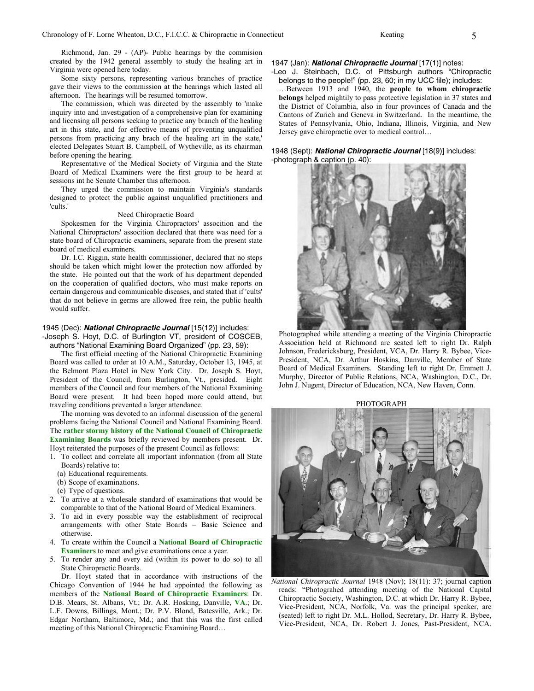Richmond, Jan. 29 - (AP)- Public hearings by the commision created by the 1942 general assembly to study the healing art in Virginia were opened here today.

 Some sixty persons, representing various branches of practice gave their views to the commission at the hearings which lasted all afternoon. The hearings will be resumed tomorrow.

 The commission, which was directed by the assembly to 'make inquiry into and investigation of a comprehensive plan for examining and licensing all persons seeking to practice any branch of the healing art in this state, and for effective means of preventing unqualified persons from practicing any brach of the healing art in the state,' elected Delegates Stuart B. Campbell, of Wytheville, as its chairman before opening the hearing.

 Representative of the Medical Society of Virginia and the State Board of Medical Examiners were the first group to be heard at sessions int he Senate Chamber this afternoon.

 They urged the commission to maintain Virginia's standards designed to protect the public against unqualified practitioners and 'cults.'

#### Need Chiropractic Board

 Spokesmen for the Virginia Chiropractors' assocition and the National Chiropractors' assocition declared that there was need for a state board of Chiropractic examiners, separate from the present state board of medical examiners.

 Dr. I.C. Riggin, state health commissioner, declared that no steps should be taken which might lower the protection now afforded by the state. He pointed out that the work of his department depended on the cooperation of qualified doctors, who must make reports on certain dangerous and communicable diseases, and stated that if 'cults' that do not believe in germs are allowed free rein, the public health would suffer.

#### 1945 (Dec): **National Chiropractic Journal** [15(12)] includes:

-Joseph S. Hoyt, D.C. of Burlington VT, president of COSCEB, authors "National Examining Board Organized" (pp. 23, 59):

 The first official meeting of the National Chiropractic Examining Board was called to order at 10 A.M., Saturday, October 13, 1945, at the Belmont Plaza Hotel in New York City. Dr. Joseph S. Hoyt, President of the Council, from Burlington, Vt., presided. Eight members of the Council and four members of the National Examining Board were present. It had been hoped more could attend, but traveling conditions prevented a larger attendance.

 The morning was devoted to an informal discussion of the general problems facing the National Council and National Examining Board. The **rather stormy history of the National Council of Chiropractic Examining Boards** was briefly reviewed by members present. Dr. Hoyt reiterated the purposes of the present Council as follows:

1. To collect and correlate all important information (from all State Boards) relative to:

- (a) Educational requirements.
- (b) Scope of examinations.
- (c) Type of questions.
- 2. To arrive at a wholesale standard of examinations that would be comparable to that of the National Board of Medical Examiners.
- 3. To aid in every possible way the establishment of reciprocal arrangements with other State Boards – Basic Science and otherwise.
- 4. To create within the Council a **National Board of Chiropractic Examiners** to meet and give examinations once a year.
- 5. To render any and every aid (within its power to do so) to all State Chiropractic Boards.

 Dr. Hoyt stated that in accordance with instructions of the Chicago Convention of 1944 he had appointed the following as members of the **National Board of Chiropractic Examiners**: Dr. D.B. Mears, St. Albans, Vt.; Dr. A.R. Hosking, Danville, **VA**.; Dr. L.F. Downs, Billings, Mont.; Dr. P.V. Blond, Batesville, Ark.; Dr. Edgar Northam, Baltimore, Md.; and that this was the first called meeting of this National Chiropractic Examining Board…

#### 1947 (Jan): **National Chiropractic Journal** [17(1)] notes:

-Leo J. Steinbach, D.C. of Pittsburgh authors "Chiropractic belongs to the people!" (pp. 23, 60; in my UCC file); includes:

…Between 1913 and 1940, the **people to whom chiropractic belongs** helped mightily to pass protective legislation in 37 states and the District of Columbia, also in four provinces of Canada and the Cantons of Zurich and Geneva in Switzerland. In the meantime, the States of Pennsylvania, Ohio, Indiana, Illinois, Virginia, and New Jersey gave chiropractic over to medical control…

#### 1948 (Sept): **National Chiropractic Journal** [18(9)] includes: -photograph & caption (p. 40):



Photographed while attending a meeting of the Virginia Chiropractic Association held at Richmond are seated left to right Dr. Ralph Johnson, Fredericksburg, President, VCA, Dr. Harry R. Bybee, Vice-President, NCA, Dr. Arthur Hoskins, Danville, Member of State Board of Medical Examiners. Standing left to right Dr. Emmett J. Murphy, Director of Public Relations, NCA, Washington, D.C., Dr. John J. Nugent, Director of Education, NCA, New Haven, Conn.

PHOTOGRAPH



*National Chiropractic Journal* 1948 (Nov); 18(11): 37; journal caption reads: "Photograhed attending meeting of the National Capital Chiropractic Society, Washington, D.C. at which Dr. Harry R. Bybee, Vice-President, NCA, Norfolk, Va. was the principal speaker, are (seated) left to right Dr. M.L. Hollod, Secretary, Dr. Harry R. Bybee, Vice-President, NCA, Dr. Robert J. Jones, Past-President, NCA.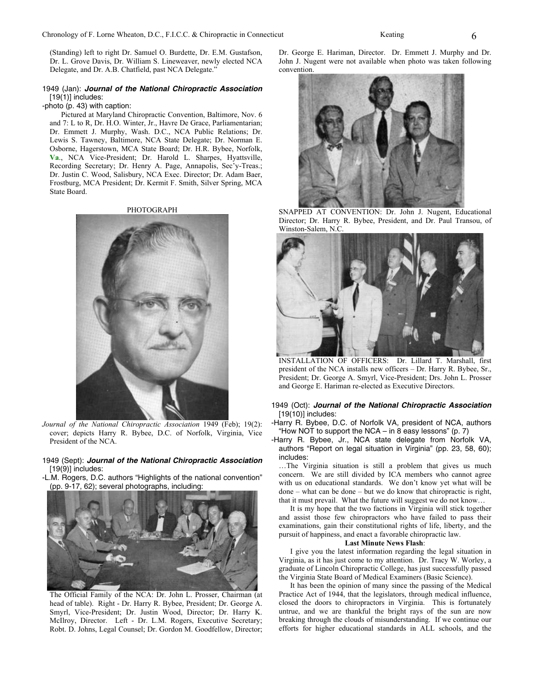(Standing) left to right Dr. Samuel O. Burdette, Dr. E.M. Gustafson, Dr. L. Grove Davis, Dr. William S. Lineweaver, newly elected NCA Delegate, and Dr. A.B. Chatfield, past NCA Delegate.'

#### 1949 (Jan): **Journal of the National Chiropractic Association**  $[19(1)]$  includes:

#### -photo (p. 43) with caption:

 Pictured at Maryland Chiropractic Convention, Baltimore, Nov. 6 and 7: L to R, Dr. H.O. Winter, Jr., Havre De Grace, Parliamentarian; Dr. Emmett J. Murphy, Wash. D.C., NCA Public Relations; Dr. Lewis S. Tawney, Baltimore, NCA State Delegate; Dr. Norman E. Osborne, Hagerstown, MCA State Board; Dr. H.R. Bybee, Norfolk, **Va**., NCA Vice-President; Dr. Harold L. Sharpes, Hyattsville, Recording Secretary; Dr. Henry A. Page, Annapolis, Sec'y-Treas.; Dr. Justin C. Wood, Salisbury, NCA Exec. Director; Dr. Adam Baer, Frostburg, MCA President; Dr. Kermit F. Smith, Silver Spring, MCA State Board.

PHOTOGRAPH



*Journal of the National Chiropractic Association* 1949 (Feb); 19(2): cover; depicts Harry R. Bybee, D.C. of Norfolk, Virginia, Vice President of the NCA.

#### 1949 (Sept): **Journal of the National Chiropractic Association**  $[19(9)]$  includes:

-L.M. Rogers, D.C. authors "Highlights of the national convention" (pp. 9-17, 62); several photographs, including:



The Official Family of the NCA: Dr. John L. Prosser, Chairman (at head of table). Right - Dr. Harry R. Bybee, President; Dr. George A. Smyrl, Vice-President; Dr. Justin Wood, Director; Dr. Harry K. McIlroy, Director. Left - Dr. L.M. Rogers, Executive Secretary; Robt. D. Johns, Legal Counsel; Dr. Gordon M. Goodfellow, Director;

Dr. George E. Hariman, Director. Dr. Emmett J. Murphy and Dr. John J. Nugent were not available when photo was taken following convention.



SNAPPED AT CONVENTION: Dr. John J. Nugent, Educational Director; Dr. Harry R. Bybee, President, and Dr. Paul Transou, of Winston-Salem, N.C.



INSTALLATION OF OFFICERS: Dr. Lillard T. Marshall, first president of the NCA installs new officers – Dr. Harry R. Bybee, Sr., President; Dr. George A. Smyrl, Vice-President; Drs. John L. Prosser and George E. Hariman re-elected as Executive Directors.

#### 1949 (Oct): **Journal of the National Chiropractic Association** [19(10)] includes:

-Harry R. Bybee, D.C. of Norfolk VA, president of NCA, authors "How NOT to support the NCA – in 8 easy lessons" (p. 7)

-Harry R. Bybee, Jr., NCA state delegate from Norfolk VA, authors "Report on legal situation in Virginia" (pp. 23, 58, 60); includes:

…The Virginia situation is still a problem that gives us much concern. We are still divided by ICA members who cannot agree with us on educational standards. We don't know yet what will be done – what can be done – but we do know that chiropractic is right, that it must prevail. What the future will suggest we do not know…

 It is my hope that the two factions in Virginia will stick together and assist those few chiropractors who have failed to pass their examinations, gain their constitutional rights of life, liberty, and the pursuit of happiness, and enact a favorable chiropractic law.

#### **Last Minute News Flash**:

 I give you the latest information regarding the legal situation in Virginia, as it has just come to my attention. Dr. Tracy W. Worley, a graduate of Lincoln Chiropractic College, has just successfully passed the Virginia State Board of Medical Examiners (Basic Science).

 It has been the opinion of many since the passing of the Medical Practice Act of 1944, that the legislators, through medical influence, closed the doors to chiropractors in Virginia. This is fortunately untrue, and we are thankful the bright rays of the sun are now breaking through the clouds of misunderstanding. If we continue our efforts for higher educational standards in ALL schools, and the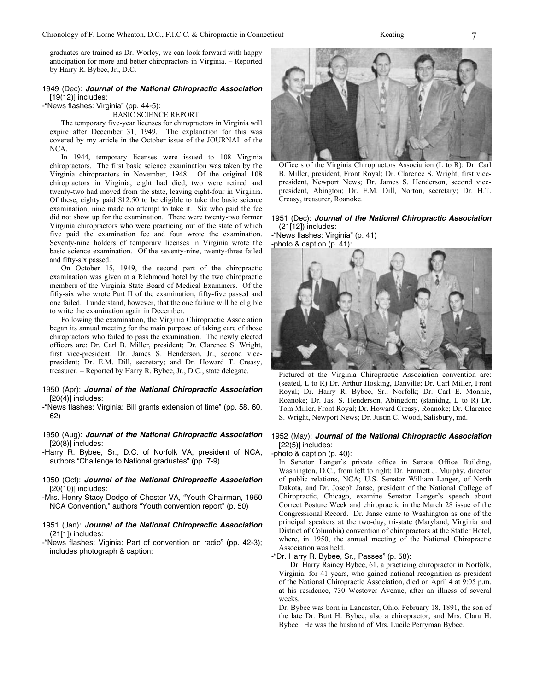graduates are trained as Dr. Worley, we can look forward with happy anticipation for more and better chiropractors in Virginia. – Reported by Harry R. Bybee, Jr., D.C.

#### 1949 (Dec): **Journal of the National Chiropractic Association** [19(12)] includes:

-"News flashes: Virginia" (pp. 44-5):

#### BASIC SCIENCE REPORT

 The temporary five-year licenses for chiropractors in Virginia will expire after December 31, 1949. The explanation for this was covered by my article in the October issue of the JOURNAL of the NCA.

 In 1944, temporary licenses were issued to 108 Virginia chiropractors. The first basic science examination was taken by the Virginia chiropractors in November, 1948. Of the original 108 chiropractors in Virginia, eight had died, two were retired and twenty-two had moved from the state, leaving eight-four in Virginia. Of these, eighty paid \$12.50 to be eligible to take the basic science examination; nine made no attempt to take it. Six who paid the fee did not show up for the examination. There were twenty-two former Virginia chiropractors who were practicing out of the state of which five paid the examination fee and four wrote the examination. Seventy-nine holders of temporary licenses in Virginia wrote the basic science examination. Of the seventy-nine, twenty-three failed and fifty-six passed.

 On October 15, 1949, the second part of the chiropractic examination was given at a Richmond hotel by the two chiropractic members of the Virginia State Board of Medical Examiners. Of the fifty-six who wrote Part II of the examination, fifty-five passed and one failed. I understand, however, that the one failure will be eligible to write the examination again in December.

 Following the examination, the Virginia Chiropractic Association began its annual meeting for the main purpose of taking care of those chiropractors who failed to pass the examination. The newly elected officers are: Dr. Carl B. Miller, president; Dr. Clarence S. Wright, first vice-president; Dr. James S. Henderson, Jr., second vicepresident; Dr. E.M. Dill, secretary; and Dr. Howard T. Creasy, treasurer. – Reported by Harry R. Bybee, Jr., D.C., state delegate.

#### 1950 (Apr): **Journal of the National Chiropractic Association**  $[20(4)]$  includes:

-"News flashes: Virginia: Bill grants extension of time" (pp. 58, 60, 62)

1950 (Aug): **Journal of the National Chiropractic Association** [20(8)] includes:

- -Harry R. Bybee, Sr., D.C. of Norfolk VA, president of NCA, authors "Challenge to National graduates" (pp. 7-9)
- 1950 (Oct): **Journal of the National Chiropractic Association** [20(10)] includes:
- -Mrs. Henry Stacy Dodge of Chester VA, "Youth Chairman, 1950 NCA Convention," authors "Youth convention report" (p. 50)
- 1951 (Jan): **Journal of the National Chiropractic Association** (21[1]) includes:
- -"News flashes: Viginia: Part of convention on radio" (pp. 42-3); includes photograph & caption:



Officers of the Virginia Chiropractors Association (L to R): Dr. Carl B. Miller, president, Front Royal; Dr. Clarence S. Wright, first vicepresident, Newport News; Dr. James S. Henderson, second vicepresident, Abington; Dr. E.M. Dill, Norton, secretary; Dr. H.T. Creasy, treasurer, Roanoke.

#### 1951 (Dec): **Journal of the National Chiropractic Association** (21[12]) includes:

-"News flashes: Virginia" (p. 41) -photo & caption (p. 41):



Pictured at the Virginia Chiropractic Association convention are: (seated, L to R) Dr. Arthur Hosking, Danville; Dr. Carl Miller, Front Royal; Dr. Harry R. Bybee, Sr., Norfolk; Dr. Carl E. Monnie, Roanoke; Dr. Jas. S. Henderson, Abingdon; (stanidng, L to R) Dr. Tom Miller, Front Royal; Dr. Howard Creasy, Roanoke; Dr. Clarence S. Wright, Newport News; Dr. Justin C. Wood, Salisbury, md.

#### 1952 (May): **Journal of the National Chiropractic Association** [22(5)] includes:

#### -photo & caption (p. 40):

In Senator Langer's private office in Senate Office Building, Washington, D.C., from left to right: Dr. Emmett J. Murphy, director of public relations, NCA; U.S. Senator William Langer, of North Dakota, and Dr. Joseph Janse, president of the National College of Chiropractic, Chicago, examine Senator Langer's speech about Correct Posture Week and chiropractic in the March 28 issue of the Congressional Record. Dr. Janse came to Washington as one of the principal speakers at the two-day, tri-state (Maryland, Virginia and District of Columbia) convention of chiropractors at the Statler Hotel, where, in 1950, the annual meeting of the National Chiropractic Association was held.

-"Dr. Harry R. Bybee, Sr., Passes" (p. 58):

 Dr. Harry Rainey Bybee, 61, a practicing chiropractor in Norfolk, Virginia, for 41 years, who gained national recognition as president of the National Chiropractic Association, died on April 4 at 9:05 p.m. at his residence, 730 Westover Avenue, after an illness of several weeks.

Dr. Bybee was born in Lancaster, Ohio, February 18, 1891, the son of the late Dr. Burt H. Bybee, also a chiropractor, and Mrs. Clara H. Bybee. He was the husband of Mrs. Lucile Perryman Bybee.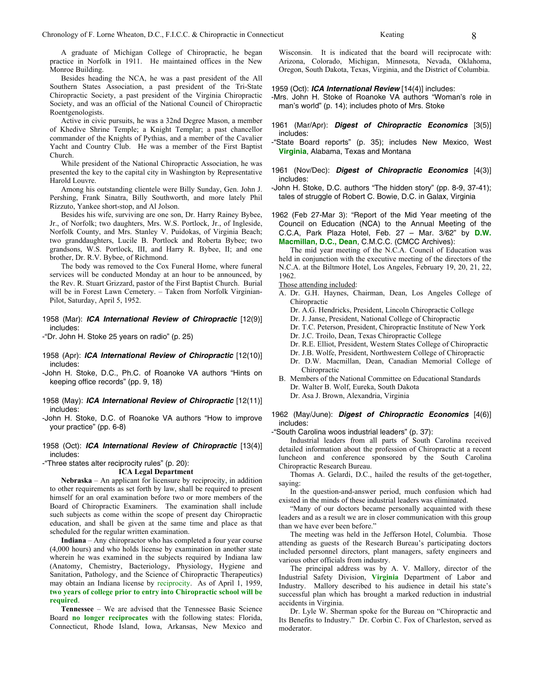A graduate of Michigan College of Chiropractic, he began practice in Norfolk in 1911. He maintained offices in the New Monroe Building.

 Besides heading the NCA, he was a past president of the All Southern States Association, a past president of the Tri-State Chiropractic Society, a past president of the Virginia Chiropractic Society, and was an official of the National Council of Chiropractic Roentgenologists.

 Active in civic pursuits, he was a 32nd Degree Mason, a member of Khedive Shrine Temple; a Knight Templar; a past chancellor commander of the Knights of Pythias, and a member of the Cavalier Yacht and Country Club. He was a member of the First Baptist Church.

 While president of the National Chiropractic Association, he was presented the key to the capital city in Washington by Representative Harold Louvre.

 Among his outstanding clientele were Billy Sunday, Gen. John J. Pershing, Frank Sinatra, Billy Southworth, and more lately Phil Rizzuto, Yankee short-stop, and Al Jolson.

 Besides his wife, surviving are one son, Dr. Harry Rainey Bybee, Jr., of Norfolk; two daughters, Mrs. W.S. Portlock, Jr., of Ingleside, Norfolk County, and Mrs. Stanley V. Puidokas, of Virginia Beach; two granddaughters, Lucile B. Portlock and Roberta Bybee; two grandsons, W.S. Portlock, III, and Harry R. Bybee, II; and one brother, Dr. R.V. Bybee, of Richmond.

 The body was removed to the Cox Funeral Home, where funeral services will be conducted Monday at an hour to be announced, by the Rev. R. Stuart Grizzard, pastor of the First Baptist Church. Burial will be in Forest Lawn Cemetery. – Taken from Norfolk Virginian-Pilot, Saturday, April 5, 1952.

#### 1958 (Mar): **ICA International Review of Chiropractic** [12(9)] includes:

-"Dr. John H. Stoke 25 years on radio" (p. 25)

- 1958 (Apr): **ICA International Review of Chiropractic** [12(10)] includes:
- -John H. Stoke, D.C., Ph.C. of Roanoke VA authors "Hints on keeping office records" (pp. 9, 18)
- 1958 (May): **ICA International Review of Chiropractic** [12(11)] includes:

-John H. Stoke, D.C. of Roanoke VA authors "How to improve your practice" (pp. 6-8)

1958 (Oct): **ICA International Review of Chiropractic** [13(4)] includes:

### -"Three states alter reciprocity rules" (p. 20):

#### **ICA Legal Department**

**Nebraska** – An applicant for licensure by reciprocity, in addition to other requirements as set forth by law, shall be required to present himself for an oral examination before two or more members of the Board of Chiropractic Examiners. The examination shall include such subjects as come within the scope of present day Chiropractic education, and shall be given at the same time and place as that scheduled for the regular written examination.

**Indiana** – Any chiropractor who has completed a four year course (4,000 hours) and who holds license by examination in another state wherein he was examined in the subjects required by Indiana law (Anatomy, Chemistry, Bacteriology, Physiology, Hygiene and Sanitation, Pathology, and the Science of Chiropractic Therapeutics) may obtain an Indiana license by reciprocity. As of April 1, 1959, **two years of college prior to entry into Chiropractic school will be required**.

**Tennessee** – We are advised that the Tennessee Basic Science Board **no longer reciprocates** with the following states: Florida, Connecticut, Rhode Island, Iowa, Arkansas, New Mexico and

Wisconsin. It is indicated that the board will reciprocate with: Arizona, Colorado, Michigan, Minnesota, Nevada, Oklahoma, Oregon, South Dakota, Texas, Virginia, and the District of Columbia.

#### 1959 (Oct): **ICA International Review** [14(4)] includes:

- -Mrs. John H. Stoke of Roanoke VA authors "Woman's role in man's world" (p. 14); includes photo of Mrs. Stoke
- 1961 (Mar/Apr): **Digest of Chiropractic Economics** [3(5)] includes:
- -"State Board reports" (p. 35); includes New Mexico, West **Virginia**, Alabama, Texas and Montana
- 1961 (Nov/Dec): **Digest of Chiropractic Economics** [4(3)] includes:
- -John H. Stoke, D.C. authors "The hidden story" (pp. 8-9, 37-41); tales of struggle of Robert C. Bowie, D.C. in Galax, Virginia

1962 (Feb 27-Mar 3): "Report of the Mid Year meeting of the Council on Education (NCA) to the Annual Meeting of the C.C.A, Park Plaza Hotel, Feb. 27 – Mar. 3/62" by **D.W. Macmillan, D.C., Dean**, C.M.C.C. (CMCC Archives):

 The mid year meeting of the N.C.A. Council of Education was held in conjunction with the executive meeting of the directors of the N.C.A. at the Biltmore Hotel, Los Angeles, February 19, 20, 21, 22, 1962.

- Those attending included:
- A. Dr. G.H. Haynes, Chairman, Dean, Los Angeles College of Chiropractic
	- Dr. A.G. Hendricks, President, Lincoln Chiropractic College
	- Dr. J. Janse, President, National College of Chiropractic
	- Dr. T.C. Peterson, President, Chiropractic Institute of New York
	- Dr. J.C. Troilo, Dean, Texas Chiropractic College
	- Dr. R.E. Elliot, President, Western States College of Chiropractic
	- Dr. J.B. Wolfe, President, Northwestern College of Chiropractic
	- Dr. D.W. Macmillan, Dean, Canadian Memorial College of Chiropractic
- B. Members of the National Committee on Educational Standards Dr. Walter B. Wolf, Eureka, South Dakota Dr. Asa J. Brown, Alexandria, Virginia

#### 1962 (May/June): **Digest of Chiropractic Economics** [4(6)] includes:

-"South Carolina woos industrial leaders" (p. 37):

 Industrial leaders from all parts of South Carolina received detailed information about the profession of Chiropractic at a recent luncheon and conference sponsored by the South Carolina Chiropractic Research Bureau.

 Thomas A. Gelardi, D.C., hailed the results of the get-together, saying:

 In the question-and-answer period, much confusion which had existed in the minds of these industrial leaders was eliminated.

 "Many of our doctors became personally acquainted with these leaders and as a result we are in closer communication with this group than we have ever been before."

 The meeting was held in the Jefferson Hotel, Columbia. Those attending as guests of the Research Bureau's participating doctors included personnel directors, plant managers, safety engineers and various other officials from industry.

 The principal address was by A. V. Mallory, director of the Industrial Safety Division, **Virginia** Department of Labor and Industry. Mallory described to his audience in detail his state's successful plan which has brought a marked reduction in industrial accidents in Virginia.

 Dr. Lyle W. Sherman spoke for the Bureau on "Chiropractic and Its Benefits to Industry." Dr. Corbin C. Fox of Charleston, served as moderator.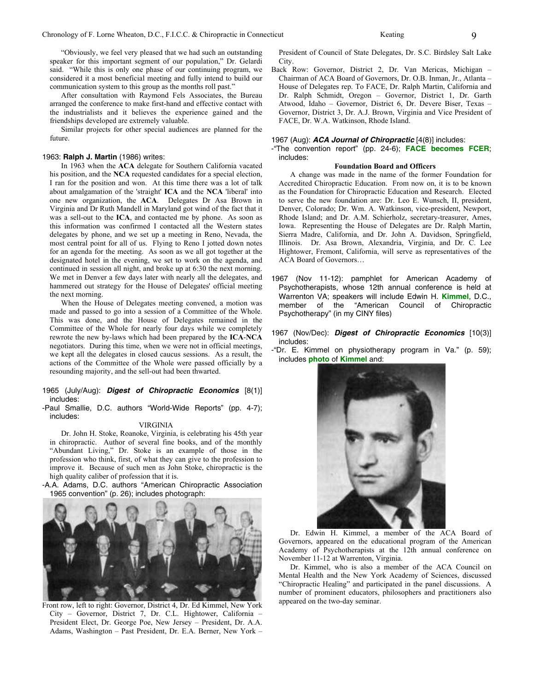"Obviously, we feel very pleased that we had such an outstanding speaker for this important segment of our population," Dr. Gelardi said. "While this is only one phase of our continuing program, we considered it a most beneficial meeting and fully intend to build our communication system to this group as the months roll past."

 After consultation with Raymond Fels Associates, the Bureau arranged the conference to make first-hand and effective contact with the industrialists and it believes the experience gained and the friendships developed are extremely valuable.

 Similar projects for other special audiences are planned for the future.

#### 1963: **Ralph J. Martin** (1986) writes:

 In 1963 when the **ACA** delegate for Southern California vacated his position, and the **NCA** requested candidates for a special election, I ran for the position and won. At this time there was a lot of talk about amalgamation of the 'straight' **ICA** and the **NCA** 'liberal' into one new organization, the **ACA**. Delegates Dr Asa Brown in Virginia and Dr Ruth Mandell in Maryland got wind of the fact that it was a sell-out to the **ICA**, and contacted me by phone. As soon as this information was confirmed I contacted all the Western states delegates by phone, and we set up a meeting in Reno, Nevada, the most central point for all of us. Flying to Reno I jotted down notes for an agenda for the meeting. As soon as we all got together at the designated hotel in the evening, we set to work on the agenda, and continued in session all night, and broke up at 6:30 the next morning. We met in Denver a few days later with nearly all the delegates, and hammered out strategy for the House of Delegates' official meeting the next morning.

 When the House of Delegates meeting convened, a motion was made and passed to go into a session of a Committee of the Whole. This was done, and the House of Delegates remained in the Committee of the Whole for nearly four days while we completely rewrote the new by-laws which had been prepared by the **ICA**-**NCA** negotiators. During this time, when we were not in official meetings, we kept all the delegates in closed caucus sessions. As a result, the actions of the Committee of the Whole were passed officially by a resounding majority, and the sell-out had been thwarted.

#### 1965 (July/Aug): **Digest of Chiropractic Economics** [8(1)] includes:

-Paul Smallie, D.C. authors "World-Wide Reports" (pp. 4-7); includes:

#### VIRGINIA

 Dr. John H. Stoke, Roanoke, Virginia, is celebrating his 45th year in chiropractic. Author of several fine books, and of the monthly "Abundant Living," Dr. Stoke is an example of those in the profession who think, first, of what they can give to the profession to improve it. Because of such men as John Stoke, chiropractic is the high quality caliber of profession that it is.

-A.A. Adams, D.C. authors "American Chiropractic Association 1965 convention" (p. 26); includes photograph:



Front row, left to right: Governor, District 4, Dr. Ed Kimmel, New York City – Governor, District 7, Dr. C.L. Hightower, California – President Elect, Dr. George Poe, New Jersey – President, Dr. A.A. Adams, Washington – Past President, Dr. E.A. Berner, New York –

President of Council of State Delegates, Dr. S.C. Birdsley Salt Lake City.

Back Row: Governor, District 2, Dr. Van Mericas, Michigan – Chairman of ACA Board of Governors, Dr. O.B. Inman, Jr., Atlanta – House of Delegates rep. To FACE, Dr. Ralph Martin, California and Dr. Ralph Schmidt, Oregon – Governor, District 1, Dr. Garth Atwood, Idaho – Governor, District 6, Dr. Devere Biser, Texas – Governor, District 3, Dr. A.J. Brown, Virginia and Vice President of FACE, Dr. W.A. Watkinson, Rhode Island.

#### 1967 (Aug): **ACA Journal of Chiropractic** [4(8)] includes:

-"The convention report" (pp. 24-6); **FACE becomes FCER**; includes:

#### **Foundation Board and Officers**

 A change was made in the name of the former Foundation for Accredited Chiropractic Education. From now on, it is to be known as the Foundation for Chiropractic Education and Research. Elected to serve the new foundation are: Dr. Leo E. Wunsch, II, president, Denver, Colorado; Dr. Wm. A. Watkinson, vice-president, Newport, Rhode Island; and Dr. A.M. Schierholz, secretary-treasurer, Ames, Iowa. Representing the House of Delegates are Dr. Ralph Martin, Sierra Madre, California, and Dr. John A. Davidson, Springfield, Illinois. Dr. Asa Brown, Alexandria, Virginia, and Dr. C. Lee Hightower, Fremont, California, will serve as representatives of the ACA Board of Governors…

- 1967 (Nov 11-12): pamphlet for American Academy of Psychotherapists, whose 12th annual conference is held at Warrenton VA; speakers will include Edwin H. **Kimmel**, D.C., member of the "American Council of Chiropractic Psychotherapy" (in my CINY files)
- 1967 (Nov/Dec): **Digest of Chiropractic Economics** [10(3)] includes:
- -"Dr. E. Kimmel on physiotherapy program in Va." (p. 59); includes **photo** of **Kimmel** and:



 Dr. Edwin H. Kimmel, a member of the ACA Board of Governors, appeared on the educational program of the American Academy of Psychotherapists at the 12th annual conference on November 11-12 at Warrenton, Virginia.

 Dr. Kimmel, who is also a member of the ACA Council on Mental Health and the New York Academy of Sciences, discussed "Chiropractic Healing" and participated in the panel discussions. A number of prominent educators, philosophers and practitioners also appeared on the two-day seminar.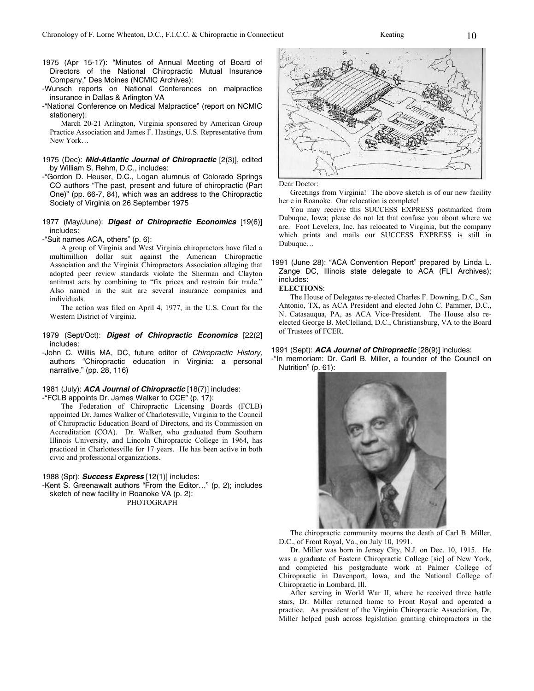- 1975 (Apr 15-17): "Minutes of Annual Meeting of Board of Directors of the National Chiropractic Mutual Insurance Company," Des Moines (NCMIC Archives):
- -Wunsch reports on National Conferences on malpractice insurance in Dallas & Arlington VA
- -"National Conference on Medical Malpractice" (report on NCMIC stationery):

 March 20-21 Arlington, Virginia sponsored by American Group Practice Association and James F. Hastings, U.S. Representative from New York…

#### 1975 (Dec): **Mid-Atlantic Journal of Chiropractic** [2(3)], edited by William S. Rehm, D.C., includes:

- -"Gordon D. Heuser, D.C., Logan alumnus of Colorado Springs CO authors "The past, present and future of chiropractic (Part One)" (pp. 66-7, 84), which was an address to the Chiropractic Society of Virginia on 26 September 1975
- 1977 (May/June): **Digest of Chiropractic Economics** [19(6)] includes:

-"Suit names ACA, others" (p. 6):

 A group of Virginia and West Virginia chiropractors have filed a multimillion dollar suit against the American Chiropractic Association and the Virginia Chiropractors Association alleging that adopted peer review standards violate the Sherman and Clayton antitrust acts by combining to "fix prices and restrain fair trade." Also named in the suit are several insurance companies and individuals.

 The action was filed on April 4, 1977, in the U.S. Court for the Western District of Virginia.

1979 (Sept/Oct): **Digest of Chiropractic Economics** [22(2] includes:

-John C. Willis MA, DC, future editor of Chiropractic History, authors "Chiropractic education in Virginia: a personal narrative." (pp. 28, 116)

## 1981 (July): **ACA Journal of Chiropractic** [18(7)] includes:

-"FCLB appoints Dr. James Walker to CCE" (p. 17):

 The Federation of Chiropractic Licensing Boards (FCLB) appointed Dr. James Walker of Charlotesville, Virginia to the Council of Chiropractic Education Board of Directors, and its Commission on Accreditation (COA). Dr. Walker, who graduated from Southern Illinois University, and Lincoln Chiropractic College in 1964, has practiced in Charlottesville for 17 years. He has been active in both civic and professional organizations.

#### 1988 (Spr): **Success Express** [12(1)] includes:

-Kent S. Greenawalt authors "From the Editor…" (p. 2); includes sketch of new facility in Roanoke VA (p. 2): PHOTOGRAPH

Dear Doctor:

 Greetings from Virginia! The above sketch is of our new facility her e in Roanoke. Our relocation is complete!

 You may receive this SUCCESS EXPRESS postmarked from Dubuque, Iowa; please do not let that confuse you about where we are. Foot Levelers, Inc. has relocated to Virginia, but the company which prints and mails our SUCCESS EXPRESS is still in Dubuque…

#### 1991 (June 28): "ACA Convention Report" prepared by Linda L. Zange DC, Illinois state delegate to ACA (FLI Archives); includes:

**ELECTIONS**:

 The House of Delegates re-elected Charles F. Downing, D.C., San Antonio, TX, as ACA President and elected John C. Pammer, D.C., N. Catasauqua, PA, as ACA Vice-President. The House also reelected George B. McClelland, D.C., Christiansburg, VA to the Board of Trustees of FCER.

#### 1991 (Sept): **ACA Journal of Chiropractic** [28(9)] includes:

-"In memoriam: Dr. Carll B. Miller, a founder of the Council on Nutrition" (p. 61):



 The chiropractic community mourns the death of Carl B. Miller, D.C., of Front Royal, Va., on July 10, 1991.

 Dr. Miller was born in Jersey City, N.J. on Dec. 10, 1915. He was a graduate of Eastern Chiropractic College [sic] of New York, and completed his postgraduate work at Palmer College of Chiropractic in Davenport, Iowa, and the National College of Chiropractic in Lombard, Ill.

 After serving in World War II, where he received three battle stars, Dr. Miller returned home to Front Royal and operated a practice. As president of the Virginia Chiropractic Association, Dr. Miller helped push across legislation granting chiropractors in the